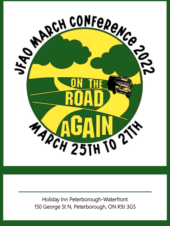

Holiday Inn Peterborough-Waterfront 150 George St N, Peterborough, ON K9J 3G5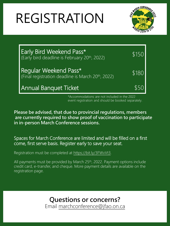# REGISTRATION



| <b>Early Bird Weekend Pass*</b><br>(Early bird deadline is February 20th, 2022)         | \$150 |
|-----------------------------------------------------------------------------------------|-------|
| Regular Weekend Pass*<br>(Final registration deadline is March 20 <sup>th</sup> , 2022) | \$180 |
| Annual Banquet Ticket                                                                   | \$50  |

\*Accommodations are not included in the 2022 event registration and should be booked separately.

**Please be advised, that due to provincial regulations, members are currently required to show proof of vaccination to participate in in-person March Conference sessions.**

Spaces for March Conference are limited and will be filled on a first come, first serve basis. Register early to save your seat.

Registration must be completed at<https://bit.ly/3FWvVt3>.

All payments must be provided by March 25<sup>th</sup>, 2022. Payment options include credit card, e-transfer, and cheque. More payment details are available on the registration page.

**Questions or concerns?**

Email [marchconference@jfao.on.ca](mailto:marchconference@jfao.on.ca)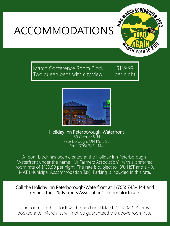



March Conference Room Block Two queen beds with city view

\$139.99 per night



Holiday Inn Peterborough-Waterfront

150 George St N, Peterborough, ON K9J 3G5 Ph: 1 (705) 743-1144

A room block has been created at the Holiday Inn Peterborough-Waterfront under the name "Jr Farmers Association" with a preferred room rate of \$139.99 per night. The rate is subject to 13% HST and a 4% MAT (Municipal Accommodation Tax). Parking is included in this rate.

Call the Holiday Inn Peterborough-Waterfront at 1 (705) 743-1144 and request the "Jr Farmers Association" room block rate.

The rooms in this block will be held until March 1st, 2022. Rooms booked after March 1st will not be guaranteed the above room rate.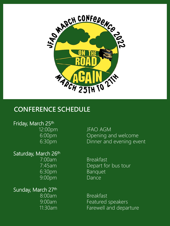

### **CONFERENCE SCHEDULE**

#### Friday, March 25th

Saturday, March 26th 7:00am Breakfast 6:30pm Banquet 9:00pm Dance

Sunday, March 27th

12:00pm JFAO AGM<br>6:00pm Opening a Opening and welcome 6:30pm Dinner and evening event

7:45am Depart for bus tour

8:00am Breakfast 9:00am Featured speakers 11:30am Farewell and departure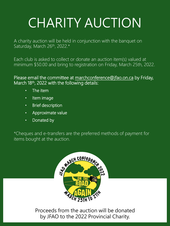## CHARITY AUCTION

A charity auction will be held in conjunction with the banquet on Saturday, March 26th, 2022.\*

Each club is asked to collect or donate an auction item(s) valued at minimum \$50.00 and bring to registration on Friday, March 25th, 2022.

Please email the committee at [marchconference@jfao.on.ca](mailto:marchconference@jfao.on.ca) by Friday, March 18<sup>th</sup>, 2022 with the following details:

- The item
- Item image
- Brief description
- Approximate value
- Donated by

\*Cheques and e-transfers are the preferred methods of payment for items bought at the auction.



Proceeds from the auction will be donated by JFAO to the 2022 Provincial Charity.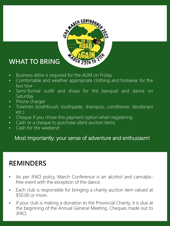

### **WHAT TO BRING**

- Business attire is required for the AGM on Friday
- Comfortable and weather appropriate clothing and footwear for the bus tour
- Semi-formal outfit and shoes for the banquet and dance on **Saturday**
- Phone charger
- Toiletries (toothbrush, toothpaste, shampoo, conditioner, deodorant etc.)
- Cheque if you chose this payment option when registering
- Cash or a cheque to purchase silent auction items
- Cash for the weekend

#### Most Importantly: your sense of adventure and enthusiasm!

### **REMINDERS**

- As per JFAO policy, March Conference is an alcohol and cannabisfree event with the exception of the dance.
- Each club is responsible for bringing a charity auction item valued at \$50.00 or more.
- If your club is making a donation to the Provincial Charity, it is due at the beginning of the Annual General Meeting. Cheques made out to JFAO.